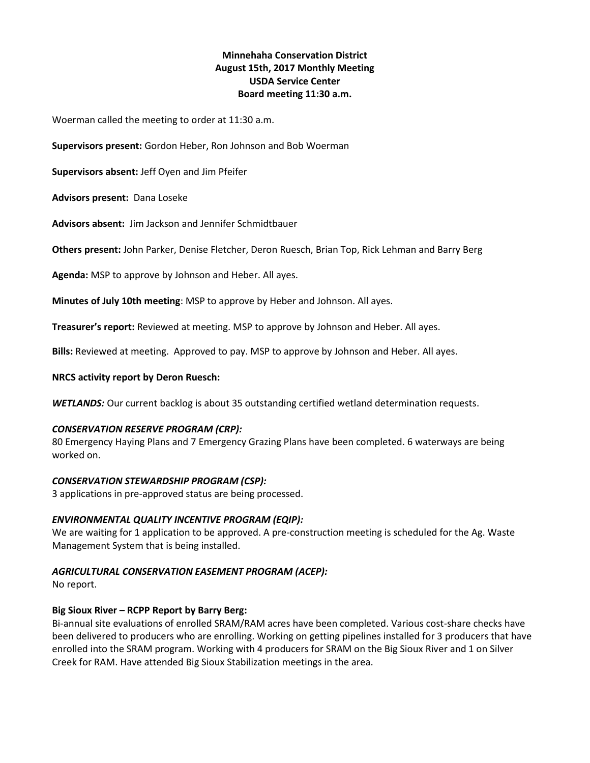# **Minnehaha Conservation District August 15th, 2017 Monthly Meeting USDA Service Center Board meeting 11:30 a.m.**

Woerman called the meeting to order at 11:30 a.m.

**Supervisors present:** Gordon Heber, Ron Johnson and Bob Woerman

**Supervisors absent:** Jeff Oyen and Jim Pfeifer

**Advisors present:** Dana Loseke

**Advisors absent:** Jim Jackson and Jennifer Schmidtbauer

**Others present:** John Parker, Denise Fletcher, Deron Ruesch, Brian Top, Rick Lehman and Barry Berg

**Agenda:** MSP to approve by Johnson and Heber. All ayes.

**Minutes of July 10th meeting**: MSP to approve by Heber and Johnson. All ayes.

**Treasurer's report:** Reviewed at meeting. MSP to approve by Johnson and Heber. All ayes.

**Bills:** Reviewed at meeting. Approved to pay. MSP to approve by Johnson and Heber. All ayes.

#### **NRCS activity report by Deron Ruesch:**

*WETLANDS:* Our current backlog is about 35 outstanding certified wetland determination requests.

#### *CONSERVATION RESERVE PROGRAM (CRP):*

80 Emergency Haying Plans and 7 Emergency Grazing Plans have been completed. 6 waterways are being worked on.

#### *CONSERVATION STEWARDSHIP PROGRAM (CSP):*

3 applications in pre-approved status are being processed.

### *ENVIRONMENTAL QUALITY INCENTIVE PROGRAM (EQIP):*

We are waiting for 1 application to be approved. A pre-construction meeting is scheduled for the Ag. Waste Management System that is being installed.

### *AGRICULTURAL CONSERVATION EASEMENT PROGRAM (ACEP):*

No report.

### **Big Sioux River – RCPP Report by Barry Berg:**

Bi-annual site evaluations of enrolled SRAM/RAM acres have been completed. Various cost-share checks have been delivered to producers who are enrolling. Working on getting pipelines installed for 3 producers that have enrolled into the SRAM program. Working with 4 producers for SRAM on the Big Sioux River and 1 on Silver Creek for RAM. Have attended Big Sioux Stabilization meetings in the area.